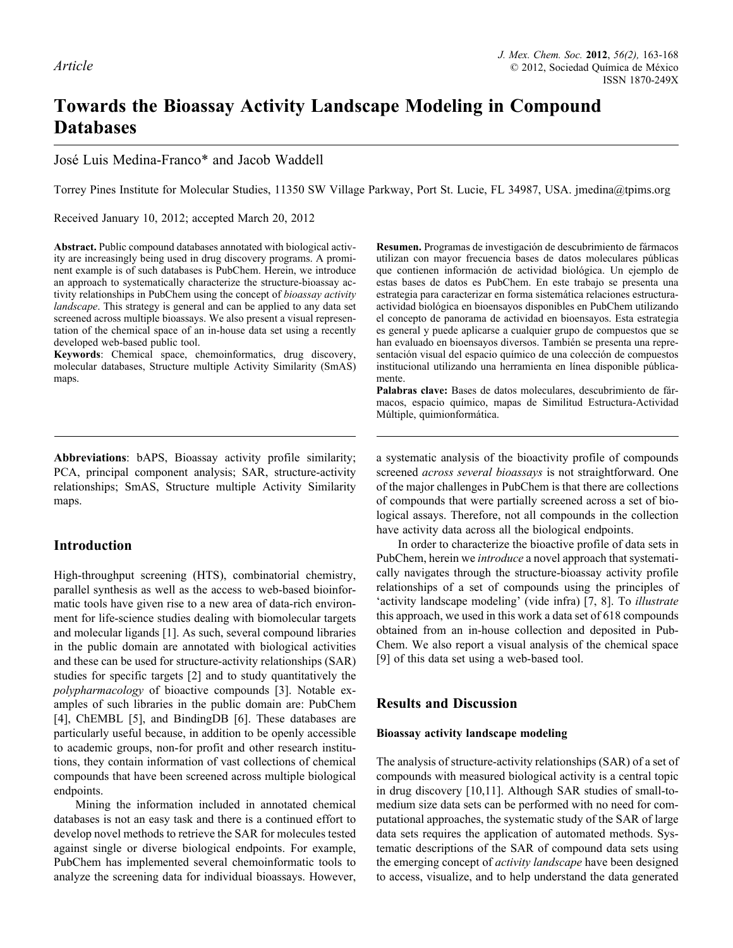# **Towards the Bioassay Activity Landscape Modeling in Compound Databases**

José Luis Medina-Franco\* and Jacob Waddell

Torrey Pines Institute for Molecular Studies, 11350 SW Village Parkway, Port St. Lucie, FL 34987, USA. jmedina@tpims.org

Received January 10, 2012; accepted March 20, 2012

**Abstract.** Public compound databases annotated with biological activity are increasingly being used in drug discovery programs. A prominent example is of such databases is PubChem. Herein, we introduce an approach to systematically characterize the structure-bioassay activity relationships in PubChem using the concept of *bioassay activity landscape*. This strategy is general and can be applied to any data set screened across multiple bioassays. We also present a visual representation of the chemical space of an in-house data set using a recently developed web-based public tool.

**Keywords**: Chemical space, chemoinformatics, drug discovery, molecular databases, Structure multiple Activity Similarity (SmAS) maps.

**Abbreviations**: bAPS, Bioassay activity profile similarity; PCA, principal component analysis; SAR, structure-activity relationships; SmAS, Structure multiple Activity Similarity maps.

# **Introduction**

High-throughput screening (HTS), combinatorial chemistry, parallel synthesis as well as the access to web-based bioinformatic tools have given rise to a new area of data-rich environment for life-science studies dealing with biomolecular targets and molecular ligands [1]. As such, several compound libraries in the public domain are annotated with biological activities and these can be used for structure-activity relationships (SAR) studies for specific targets [2] and to study quantitatively the *polypharmacology* of bioactive compounds [3]. Notable examples of such libraries in the public domain are: PubChem [4], ChEMBL [5], and BindingDB [6]. These databases are particularly useful because, in addition to be openly accessible to academic groups, non-for profit and other research institutions, they contain information of vast collections of chemical compounds that have been screened across multiple biological endpoints.

Mining the information included in annotated chemical databases is not an easy task and there is a continued effort to develop novel methods to retrieve the SAR for molecules tested against single or diverse biological endpoints. For example, PubChem has implemented several chemoinformatic tools to analyze the screening data for individual bioassays. However,

**Resumen.** Programas de investigación de descubrimiento de fármacos utilizan con mayor frecuencia bases de datos moleculares públicas que contienen información de actividad biológica. Un ejemplo de estas bases de datos es PubChem. En este trabajo se presenta una estrategia para caracterizar en forma sistemática relaciones estructuraactividad biológica en bioensayos disponibles en PubChem utilizando el concepto de panorama de actividad en bioensayos. Esta estrategia es general y puede aplicarse a cualquier grupo de compuestos que se han evaluado en bioensayos diversos. También se presenta una representación visual del espacio químico de una colección de compuestos institucional utilizando una herramienta en línea disponible públicamente.

**Palabras clave:** Bases de datos moleculares, descubrimiento de fármacos, espacio químico, mapas de Similitud Estructura-Actividad Múltiple, quimionformática.

a systematic analysis of the bioactivity profile of compounds screened *across several bioassays* is not straightforward. One of the major challenges in PubChem is that there are collections of compounds that were partially screened across a set of biological assays. Therefore, not all compounds in the collection have activity data across all the biological endpoints.

In order to characterize the bioactive profile of data sets in PubChem, herein we *introduce* a novel approach that systematically navigates through the structure-bioassay activity profile relationships of a set of compounds using the principles of 'activity landscape modeling' (vide infra) [7, 8]. To *illustrate* this approach, we used in this work a data set of 618 compounds obtained from an in-house collection and deposited in Pub-Chem. We also report a visual analysis of the chemical space [9] of this data set using a web-based tool.

# **Results and Discussion**

### **Bioassay activity landscape modeling**

The analysis of structure-activity relationships (SAR) of a set of compounds with measured biological activity is a central topic in drug discovery [10,11]. Although SAR studies of small-tomedium size data sets can be performed with no need for computational approaches, the systematic study of the SAR of large data sets requires the application of automated methods. Systematic descriptions of the SAR of compound data sets using the emerging concept of *activity landscape* have been designed to access, visualize, and to help understand the data generated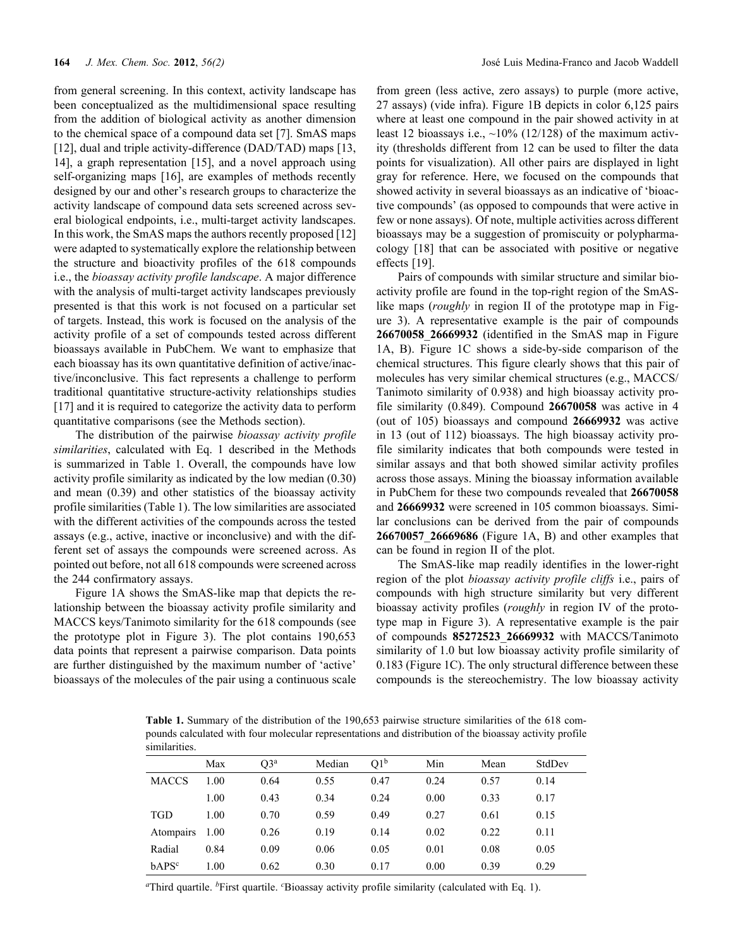from general screening. In this context, activity landscape has been conceptualized as the multidimensional space resulting from the addition of biological activity as another dimension to the chemical space of a compound data set [7]. SmAS maps [12], dual and triple activity-difference (DAD/TAD) maps [13, 14], a graph representation [15], and a novel approach using self-organizing maps [16], are examples of methods recently designed by our and other's research groups to characterize the activity landscape of compound data sets screened across several biological endpoints, i.e., multi-target activity landscapes. In this work, the SmAS maps the authors recently proposed [12] were adapted to systematically explore the relationship between the structure and bioactivity profiles of the 618 compounds i.e., the *bioassay activity profile landscape*. A major difference with the analysis of multi-target activity landscapes previously presented is that this work is not focused on a particular set of targets. Instead, this work is focused on the analysis of the activity profile of a set of compounds tested across different bioassays available in PubChem. We want to emphasize that each bioassay has its own quantitative definition of active/inactive/inconclusive. This fact represents a challenge to perform traditional quantitative structure-activity relationships studies [17] and it is required to categorize the activity data to perform quantitative comparisons (see the Methods section).

The distribution of the pairwise *bioassay activity profile similarities*, calculated with Eq. 1 described in the Methods is summarized in Table 1. Overall, the compounds have low activity profile similarity as indicated by the low median (0.30) and mean (0.39) and other statistics of the bioassay activity profile similarities (Table 1). The low similarities are associated with the different activities of the compounds across the tested assays (e.g., active, inactive or inconclusive) and with the different set of assays the compounds were screened across. As pointed out before, not all 618 compounds were screened across the 244 confirmatory assays.

Figure 1A shows the SmAS-like map that depicts the relationship between the bioassay activity profile similarity and MACCS keys/Tanimoto similarity for the 618 compounds (see the prototype plot in Figure 3). The plot contains 190,653 data points that represent a pairwise comparison. Data points are further distinguished by the maximum number of 'active' bioassays of the molecules of the pair using a continuous scale from green (less active, zero assays) to purple (more active, 27 assays) (vide infra). Figure 1B depicts in color 6,125 pairs where at least one compound in the pair showed activity in at least 12 bioassays i.e.,  $\sim$ 10% (12/128) of the maximum activity (thresholds different from 12 can be used to filter the data points for visualization). All other pairs are displayed in light gray for reference. Here, we focused on the compounds that showed activity in several bioassays as an indicative of 'bioactive compounds' (as opposed to compounds that were active in few or none assays). Of note, multiple activities across different bioassays may be a suggestion of promiscuity or polypharmacology [18] that can be associated with positive or negative effects [19].

Pairs of compounds with similar structure and similar bioactivity profile are found in the top-right region of the SmASlike maps (*roughly* in region II of the prototype map in Figure 3). A representative example is the pair of compounds **26670058**\_**26669932** (identified in the SmAS map in Figure 1A, B). Figure 1C shows a side-by-side comparison of the chemical structures. This figure clearly shows that this pair of molecules has very similar chemical structures (e.g., MACCS/ Tanimoto similarity of 0.938) and high bioassay activity profile similarity (0.849). Compound **26670058** was active in 4 (out of 105) bioassays and compound **26669932** was active in 13 (out of 112) bioassays. The high bioassay activity profile similarity indicates that both compounds were tested in similar assays and that both showed similar activity profiles across those assays. Mining the bioassay information available in PubChem for these two compounds revealed that **26670058**  and **26669932** were screened in 105 common bioassays. Similar conclusions can be derived from the pair of compounds **26670057**\_**26669686** (Figure 1A, B) and other examples that can be found in region II of the plot.

The SmAS-like map readily identifies in the lower-right region of the plot *bioassay activity profile cliffs* i.e., pairs of compounds with high structure similarity but very different bioassay activity profiles (*roughly* in region IV of the prototype map in Figure 3). A representative example is the pair of compounds **85272523**\_**26669932** with MACCS/Tanimoto similarity of 1.0 but low bioassay activity profile similarity of 0.183 (Figure 1C). The only structural difference between these compounds is the stereochemistry. The low bioassay activity

**Table 1.** Summary of the distribution of the 190,653 pairwise structure similarities of the 618 compounds calculated with four molecular representations and distribution of the bioassay activity profile similarities.

|                   | Max  | $O3^a$ | Median | Q1 <sup>b</sup> | Min  | Mean | StdDev |
|-------------------|------|--------|--------|-----------------|------|------|--------|
| <b>MACCS</b>      | 1.00 | 0.64   | 0.55   | 0.47            | 0.24 | 0.57 | 0.14   |
|                   | 1.00 | 0.43   | 0.34   | 0.24            | 0.00 | 0.33 | 0.17   |
| <b>TGD</b>        | 1.00 | 0.70   | 0.59   | 0.49            | 0.27 | 0.61 | 0.15   |
| Atompairs         | 1.00 | 0.26   | 0.19   | 0.14            | 0.02 | 0.22 | 0.11   |
| Radial            | 0.84 | 0.09   | 0.06   | 0.05            | 0.01 | 0.08 | 0.05   |
| bAPS <sup>c</sup> | 1.00 | 0.62   | 0.30   | 0.17            | 0.00 | 0.39 | 0.29   |
|                   |      |        |        |                 |      |      |        |

*<sup>a</sup>*Third quartile. *b*First quartile. *<sup>c</sup>* Bioassay activity profile similarity (calculated with Eq. 1).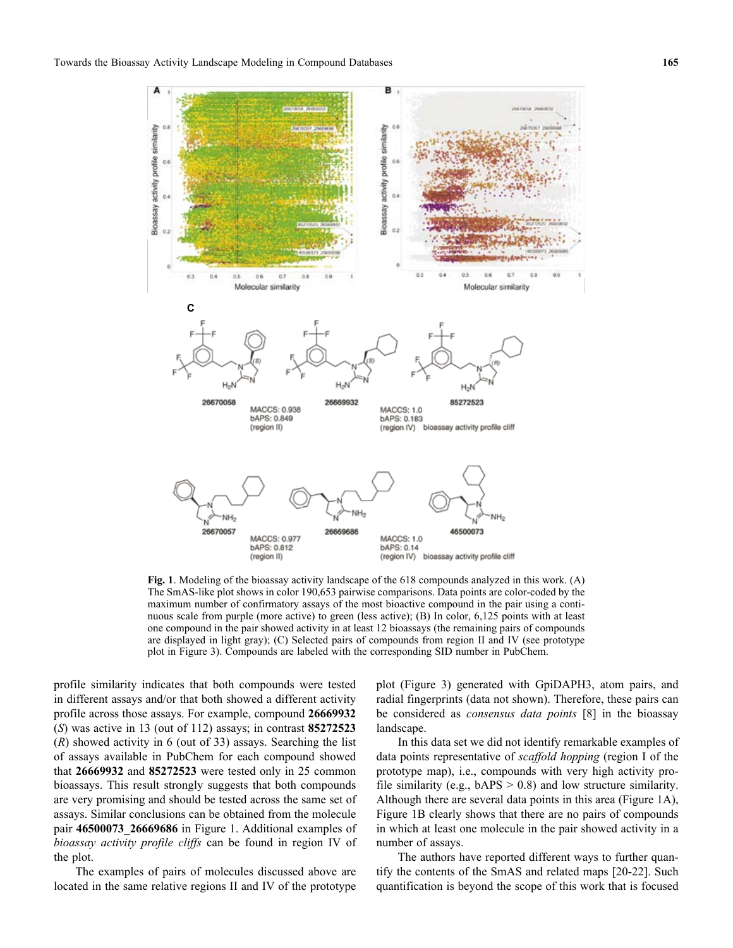

**Fig. 1**. Modeling of the bioassay activity landscape of the 618 compounds analyzed in this work. (A) The SmAS-like plot shows in color 190,653 pairwise comparisons. Data points are color-coded by the maximum number of confirmatory assays of the most bioactive compound in the pair using a continuous scale from purple (more active) to green (less active); (B) In color, 6,125 points with at least one compound in the pair showed activity in at least 12 bioassays (the remaining pairs of compounds are displayed in light gray); (C) Selected pairs of compounds from region II and IV (see prototype plot in Figure 3). Compounds are labeled with the corresponding SID number in PubChem.

profile similarity indicates that both compounds were tested in different assays and/or that both showed a different activity profile across those assays. For example, compound **26669932** (*S*) was active in 13 (out of 112) assays; in contrast **85272523** (*R*) showed activity in 6 (out of 33) assays. Searching the list of assays available in PubChem for each compound showed that **26669932** and **85272523** were tested only in 25 common bioassays. This result strongly suggests that both compounds are very promising and should be tested across the same set of assays. Similar conclusions can be obtained from the molecule pair **46500073**\_**26669686** in Figure 1. Additional examples of *bioassay activity profile cliffs* can be found in region IV of the plot.

The examples of pairs of molecules discussed above are located in the same relative regions II and IV of the prototype

plot (Figure 3) generated with GpiDAPH3, atom pairs, and radial fingerprints (data not shown). Therefore, these pairs can be considered as *consensus data points* [8] in the bioassay landscape.

In this data set we did not identify remarkable examples of data points representative of *scaffold hopping* (region I of the prototype map), i.e., compounds with very high activity profile similarity (e.g.,  $bAPS > 0.8$ ) and low structure similarity. Although there are several data points in this area (Figure 1A), Figure 1B clearly shows that there are no pairs of compounds in which at least one molecule in the pair showed activity in a number of assays.

The authors have reported different ways to further quantify the contents of the SmAS and related maps [20-22]. Such quantification is beyond the scope of this work that is focused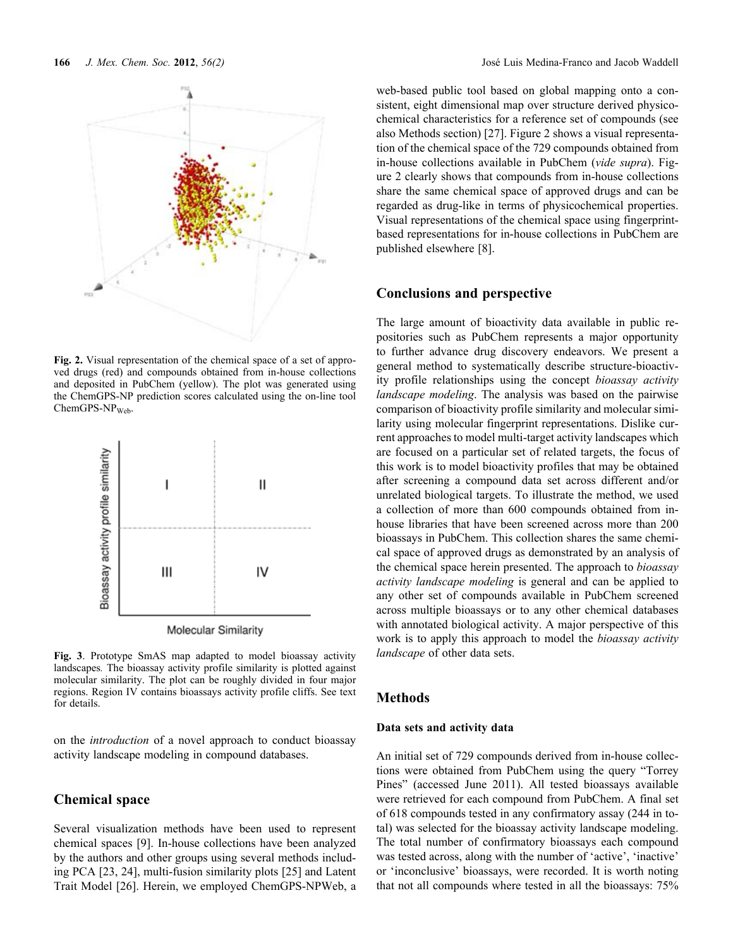

**Fig. 2.** Visual representation of the chemical space of a set of approved drugs (red) and compounds obtained from in-house collections and deposited in PubChem (yellow). The plot was generated using the ChemGPS-NP prediction scores calculated using the on-line tool  $ChemGPS-NP<sub>Web</sub>.$ 



Molecular Similarity

**Fig. 3**. Prototype SmAS map adapted to model bioassay activity landscapes*.* The bioassay activity profile similarity is plotted against molecular similarity. The plot can be roughly divided in four major regions. Region IV contains bioassays activity profile cliffs. See text for details.

on the *introduction* of a novel approach to conduct bioassay activity landscape modeling in compound databases.

# **Chemical space**

Several visualization methods have been used to represent chemical spaces [9]. In-house collections have been analyzed by the authors and other groups using several methods including PCA [23, 24], multi-fusion similarity plots [25] and Latent Trait Model [26]. Herein, we employed ChemGPS-NPWeb, a web-based public tool based on global mapping onto a consistent, eight dimensional map over structure derived physicochemical characteristics for a reference set of compounds (see also Methods section) [27]. Figure 2 shows a visual representation of the chemical space of the 729 compounds obtained from in-house collections available in PubChem (*vide supra*). Figure 2 clearly shows that compounds from in-house collections share the same chemical space of approved drugs and can be regarded as drug-like in terms of physicochemical properties. Visual representations of the chemical space using fingerprintbased representations for in-house collections in PubChem are published elsewhere [8].

# **Conclusions and perspective**

The large amount of bioactivity data available in public repositories such as PubChem represents a major opportunity to further advance drug discovery endeavors. We present a general method to systematically describe structure-bioactivity profile relationships using the concept *bioassay activity landscape modeling*. The analysis was based on the pairwise comparison of bioactivity profile similarity and molecular similarity using molecular fingerprint representations. Dislike current approaches to model multi-target activity landscapes which are focused on a particular set of related targets, the focus of this work is to model bioactivity profiles that may be obtained after screening a compound data set across different and/or unrelated biological targets. To illustrate the method, we used a collection of more than 600 compounds obtained from inhouse libraries that have been screened across more than 200 bioassays in PubChem. This collection shares the same chemical space of approved drugs as demonstrated by an analysis of the chemical space herein presented. The approach to *bioassay activity landscape modeling* is general and can be applied to any other set of compounds available in PubChem screened across multiple bioassays or to any other chemical databases with annotated biological activity. A major perspective of this work is to apply this approach to model the *bioassay activity landscape* of other data sets.

# **Methods**

### **Data sets and activity data**

An initial set of 729 compounds derived from in-house collections were obtained from PubChem using the query "Torrey Pines" (accessed June 2011). All tested bioassays available were retrieved for each compound from PubChem. A final set of 618 compounds tested in any confirmatory assay (244 in total) was selected for the bioassay activity landscape modeling. The total number of confirmatory bioassays each compound was tested across, along with the number of 'active', 'inactive' or 'inconclusive' bioassays, were recorded. It is worth noting that not all compounds where tested in all the bioassays: 75%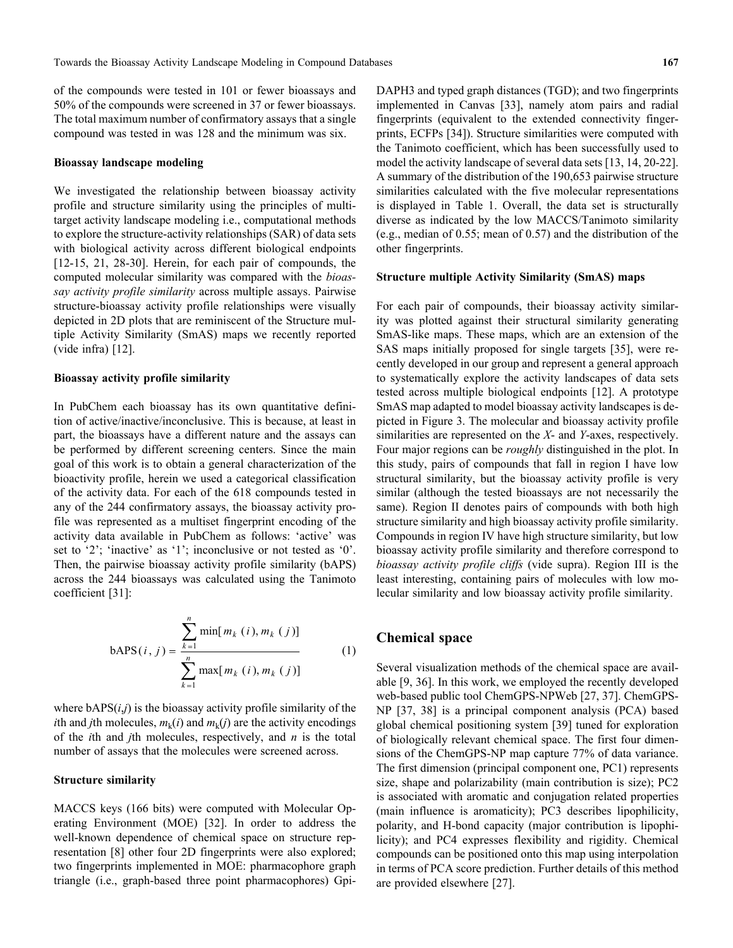of the compounds were tested in 101 or fewer bioassays and 50% of the compounds were screened in 37 or fewer bioassays. The total maximum number of confirmatory assays that a single compound was tested in was 128 and the minimum was six.

#### **Bioassay landscape modeling**

We investigated the relationship between bioassay activity profile and structure similarity using the principles of multitarget activity landscape modeling i.e., computational methods to explore the structure-activity relationships (SAR) of data sets with biological activity across different biological endpoints [12-15, 21, 28-30]. Herein, for each pair of compounds, the computed molecular similarity was compared with the *bioassay activity profile similarity* across multiple assays. Pairwise structure-bioassay activity profile relationships were visually depicted in 2D plots that are reminiscent of the Structure multiple Activity Similarity (SmAS) maps we recently reported (vide infra) [12].

#### **Bioassay activity profile similarity**

In PubChem each bioassay has its own quantitative definition of active/inactive/inconclusive. This is because, at least in part, the bioassays have a different nature and the assays can be performed by different screening centers. Since the main goal of this work is to obtain a general characterization of the bioactivity profile, herein we used a categorical classification of the activity data. For each of the 618 compounds tested in any of the 244 confirmatory assays, the bioassay activity profile was represented as a multiset fingerprint encoding of the activity data available in PubChem as follows: 'active' was set to '2'; 'inactive' as '1'; inconclusive or not tested as '0'. Then, the pairwise bioassay activity profile similarity (bAPS) across the 244 bioassays was calculated using the Tanimoto coefficient [31]:

$$
bAPS(i, j) = \frac{\sum_{k=1}^{n} \min[m_k(i), m_k(j)]}{\sum_{k=1}^{n} \max[m_k(i), m_k(j)]}
$$
 (1)

where bAPS(*i*,*j*) is the bioassay activity profile similarity of the *i*th and *j*th molecules,  $m_k(i)$  and  $m_k(j)$  are the activity encodings of the *i*th and *j*th molecules, respectively, and *n* is the total number of assays that the molecules were screened across.

#### **Structure similarity**

MACCS keys (166 bits) were computed with Molecular Operating Environment (MOE) [32]. In order to address the well-known dependence of chemical space on structure representation [8] other four 2D fingerprints were also explored; two fingerprints implemented in MOE: pharmacophore graph triangle (i.e., graph-based three point pharmacophores) GpiDAPH3 and typed graph distances (TGD); and two fingerprints implemented in Canvas [33], namely atom pairs and radial fingerprints (equivalent to the extended connectivity fingerprints, ECFPs [34]). Structure similarities were computed with the Tanimoto coefficient, which has been successfully used to model the activity landscape of several data sets [13, 14, 20-22]. A summary of the distribution of the 190,653 pairwise structure similarities calculated with the five molecular representations is displayed in Table 1. Overall, the data set is structurally diverse as indicated by the low MACCS/Tanimoto similarity (e.g., median of 0.55; mean of 0.57) and the distribution of the other fingerprints.

#### **Structure multiple Activity Similarity (SmAS) maps**

For each pair of compounds, their bioassay activity similarity was plotted against their structural similarity generating SmAS-like maps. These maps, which are an extension of the SAS maps initially proposed for single targets [35], were recently developed in our group and represent a general approach to systematically explore the activity landscapes of data sets tested across multiple biological endpoints [12]. A prototype SmAS map adapted to model bioassay activity landscapes is depicted in Figure 3. The molecular and bioassay activity profile similarities are represented on the *X*- and *Y*-axes, respectively. Four major regions can be *roughly* distinguished in the plot. In this study, pairs of compounds that fall in region I have low structural similarity, but the bioassay activity profile is very similar (although the tested bioassays are not necessarily the same). Region II denotes pairs of compounds with both high structure similarity and high bioassay activity profile similarity. Compounds in region IV have high structure similarity, but low bioassay activity profile similarity and therefore correspond to *bioassay activity profile cliffs* (vide supra). Region III is the least interesting, containing pairs of molecules with low molecular similarity and low bioassay activity profile similarity.

# **Chemical space**

Several visualization methods of the chemical space are available [9, 36]. In this work, we employed the recently developed web-based public tool ChemGPS-NPWeb [27, 37]. ChemGPS-NP [37, 38] is a principal component analysis (PCA) based global chemical positioning system [39] tuned for exploration of biologically relevant chemical space. The first four dimensions of the ChemGPS-NP map capture 77% of data variance. The first dimension (principal component one, PC1) represents size, shape and polarizability (main contribution is size); PC2 is associated with aromatic and conjugation related properties (main influence is aromaticity); PC3 describes lipophilicity, polarity, and H-bond capacity (major contribution is lipophilicity); and PC4 expresses flexibility and rigidity. Chemical compounds can be positioned onto this map using interpolation in terms of PCA score prediction. Further details of this method are provided elsewhere [27].